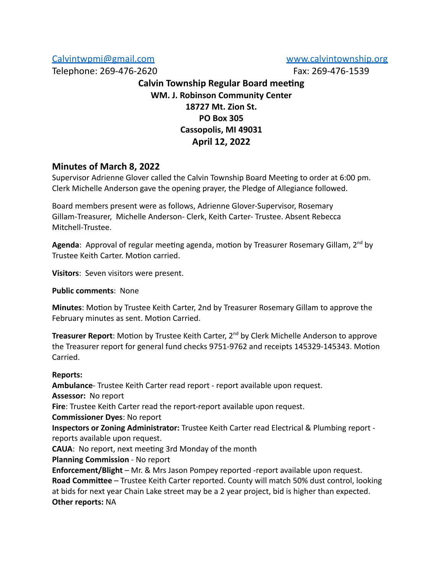## [Calvintwpmi@gmail.com](mailto:Calvintwpmi@gmail.com) [www.calvintownship.org](http://www.calvintownship.org/)

Telephone: 269-476-2620 Fax: 269-476-1539

# **Calvin Township Regular Board meeting WM. J. Robinson Community Center 18727 Mt. Zion St. PO Box 305 Cassopolis, MI 49031 April 12, 2022**

# **Minutes of March 8, 2022**

Supervisor Adrienne Glover called the Calvin Township Board Meeting to order at 6:00 pm. Clerk Michelle Anderson gave the opening prayer, the Pledge of Allegiance followed.

Board members present were as follows, Adrienne Glover-Supervisor, Rosemary Gillam-Treasurer, Michelle Anderson- Clerk, Keith Carter- Trustee. Absent Rebecca Mitchell-Trustee.

Agenda: Approval of regular meeting agenda, motion by Treasurer Rosemary Gillam, 2<sup>nd</sup> by Trustee Keith Carter. Motion carried.

**Visitors**: Seven visitors were present.

**Public comments**: None

**Minutes**: Motion by Trustee Keith Carter, 2nd by Treasurer Rosemary Gillam to approve the February minutes as sent. Motion Carried.

Treasurer Report: Motion by Trustee Keith Carter, 2<sup>nd</sup> by Clerk Michelle Anderson to approve the Treasurer report for general fund checks 9751-9762 and receipts 145329-145343. Motion Carried.

### **Reports:**

**Ambulance**- Trustee Keith Carter read report - report available upon request. **Assessor:** No report **Fire**: Trustee Keith Carter read the report-report available upon request. **Commissioner Dyes**: No report **Inspectors or Zoning Administrator:** Trustee Keith Carter read Electrical & Plumbing report reports available upon request. **CAUA**: No report, next meeting 3rd Monday of the month **Planning Commission** - No report **Enforcement/Blight** – Mr. & Mrs Jason Pompey reported -report available upon request. **Road Committee** – Trustee Keith Carter reported. County will match 50% dust control, looking at bids for next year Chain Lake street may be a 2 year project, bid is higher than expected. **Other reports:** NA